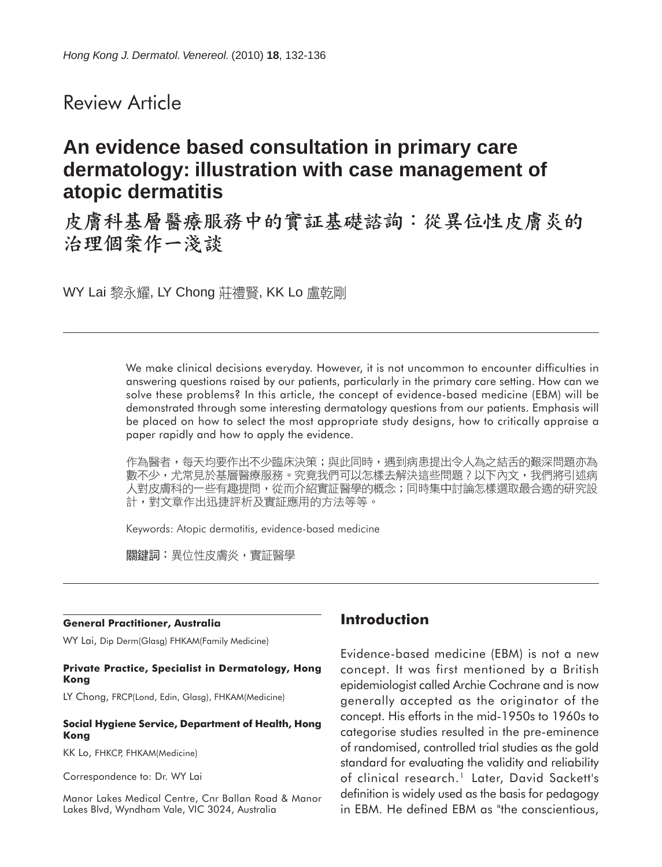# Review Article

# **An evidence based consultation in primary care dermatology: illustration with case management of atopic dermatitis**

皮膚科基層醫療服務中的實証基礎諮詢:從異位性皮膚炎的 治理個案作一淺談

WY Lai 黎永耀, LY Chong 莊禮賢, KK Lo 盧乾剛

We make clinical decisions everyday. However, it is not uncommon to encounter difficulties in answering questions raised by our patients, particularly in the primary care setting. How can we solve these problems? In this article, the concept of evidence-based medicine (EBM) will be demonstrated through some interesting dermatology questions from our patients. Emphasis will be placed on how to select the most appropriate study designs, how to critically appraise a paper rapidly and how to apply the evidence.

作為醫者,每天均要作出不少臨床決策;與此同時,遇到病患提出令人為之結舌的艱深問題亦為 數不少,尤常見於基層醫療服務。究竟我們可以怎樣去解決這些問題?以下內文,我們將引述病 人對皮膚科的一些有趣提問,從而介紹實証醫學的概念;同時集中討論怎樣選取最合適的研究設 計,對文章作出迅捷評析及實証應用的方法等等。

Keywords: Atopic dermatitis, evidence-based medicine

關鍵詞:異位性皮膚炎,實証醫學

#### **General Practitioner, Australia**

WY Lai, Dip Derm(Glasg) FHKAM(Family Medicine)

#### **Private Practice, Specialist in Dermatology, Hong Kong**

LY Chong, FRCP(Lond, Edin, Glasg), FHKAM(Medicine)

#### **Social Hygiene Service, Department of Health, Hong Kong**

KK Lo, FHKCP, FHKAM(Medicine)

Correspondence to: Dr. WY Lai

Manor Lakes Medical Centre, Cnr Ballan Road & Manor Lakes Blvd, Wyndham Vale, VIC 3024, Australia

### **Introduction**

Evidence-based medicine (EBM) is not a new concept. It was first mentioned by a British epidemiologist called Archie Cochrane and is now generally accepted as the originator of the concept. His efforts in the mid-1950s to 1960s to categorise studies resulted in the pre-eminence of randomised, controlled trial studies as the gold standard for evaluating the validity and reliability of clinical research.<sup>1</sup> Later, David Sackett's definition is widely used as the basis for pedagogy in EBM. He defined EBM as "the conscientious,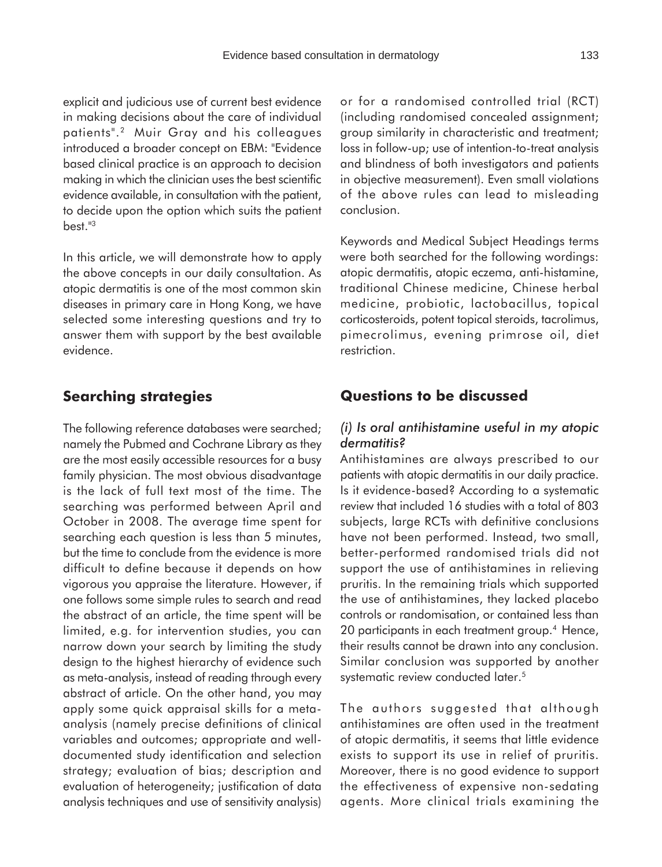explicit and judicious use of current best evidence in making decisions about the care of individual patients".2 Muir Gray and his colleagues introduced a broader concept on EBM: "Evidence based clinical practice is an approach to decision making in which the clinician uses the best scientific evidence available, in consultation with the patient, to decide upon the option which suits the patient best."3

In this article, we will demonstrate how to apply the above concepts in our daily consultation. As atopic dermatitis is one of the most common skin diseases in primary care in Hong Kong, we have selected some interesting questions and try to answer them with support by the best available evidence.

## **Searching strategies**

The following reference databases were searched; namely the Pubmed and Cochrane Library as they are the most easily accessible resources for a busy family physician. The most obvious disadvantage is the lack of full text most of the time. The searching was performed between April and October in 2008. The average time spent for searching each question is less than 5 minutes, but the time to conclude from the evidence is more difficult to define because it depends on how vigorous you appraise the literature. However, if one follows some simple rules to search and read the abstract of an article, the time spent will be limited, e.g. for intervention studies, you can narrow down your search by limiting the study design to the highest hierarchy of evidence such as meta-analysis, instead of reading through every abstract of article. On the other hand, you may apply some quick appraisal skills for a metaanalysis (namely precise definitions of clinical variables and outcomes; appropriate and welldocumented study identification and selection strategy; evaluation of bias; description and evaluation of heterogeneity; justification of data analysis techniques and use of sensitivity analysis)

or for a randomised controlled trial (RCT) (including randomised concealed assignment; group similarity in characteristic and treatment; loss in follow-up; use of intention-to-treat analysis and blindness of both investigators and patients in objective measurement). Even small violations of the above rules can lead to misleading conclusion.

Keywords and Medical Subject Headings terms were both searched for the following wordings: atopic dermatitis, atopic eczema, anti-histamine, traditional Chinese medicine, Chinese herbal medicine, probiotic, lactobacillus, topical corticosteroids, potent topical steroids, tacrolimus, pimecrolimus, evening primrose oil, diet restriction.

### **Questions to be discussed**

#### *(i) Is oral antihistamine useful in my atopic dermatitis?*

Antihistamines are always prescribed to our patients with atopic dermatitis in our daily practice. Is it evidence-based? According to a systematic review that included 16 studies with a total of 803 subjects, large RCTs with definitive conclusions have not been performed. Instead, two small, better-performed randomised trials did not support the use of antihistamines in relieving pruritis. In the remaining trials which supported the use of antihistamines, they lacked placebo controls or randomisation, or contained less than 20 participants in each treatment group.<sup>4</sup> Hence, their results cannot be drawn into any conclusion. Similar conclusion was supported by another systematic review conducted later.<sup>5</sup>

The authors suggested that although antihistamines are often used in the treatment of atopic dermatitis, it seems that little evidence exists to support its use in relief of pruritis. Moreover, there is no good evidence to support the effectiveness of expensive non-sedating agents. More clinical trials examining the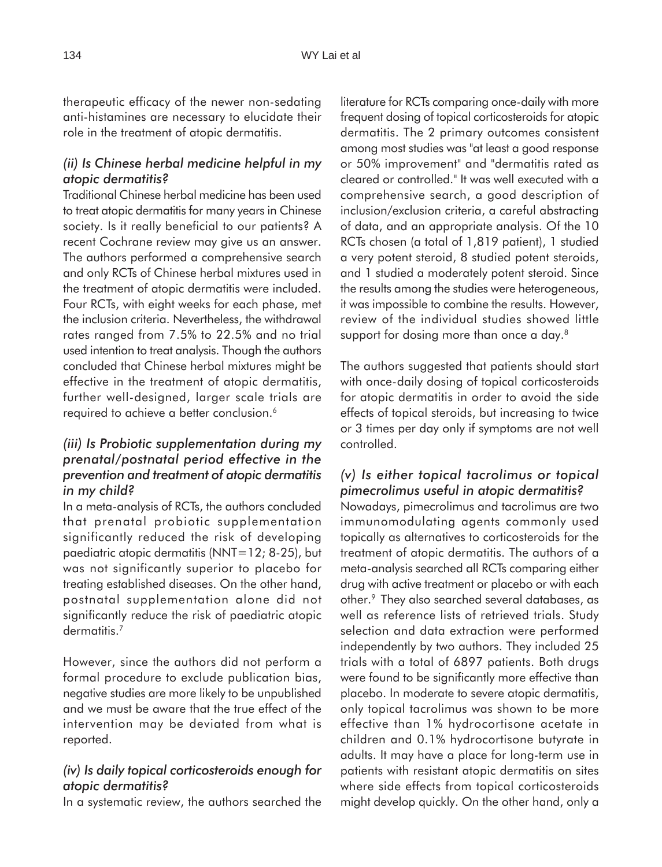therapeutic efficacy of the newer non-sedating anti-histamines are necessary to elucidate their role in the treatment of atopic dermatitis.

### *(ii) Is Chinese herbal medicine helpful in my atopic dermatitis?*

Traditional Chinese herbal medicine has been used to treat atopic dermatitis for many years in Chinese society. Is it really beneficial to our patients? A recent Cochrane review may give us an answer. The authors performed a comprehensive search and only RCTs of Chinese herbal mixtures used in the treatment of atopic dermatitis were included. Four RCTs, with eight weeks for each phase, met the inclusion criteria. Nevertheless, the withdrawal rates ranged from 7.5% to 22.5% and no trial used intention to treat analysis. Though the authors concluded that Chinese herbal mixtures might be effective in the treatment of atopic dermatitis, further well-designed, larger scale trials are required to achieve a better conclusion.<sup>6</sup>

### *(iii) Is Probiotic supplementation during my prenatal/postnatal period effective in the prevention and treatment of atopic dermatitis in my child?*

In a meta-analysis of RCTs, the authors concluded that prenatal probiotic supplementation significantly reduced the risk of developing paediatric atopic dermatitis (NNT=12; 8-25), but was not significantly superior to placebo for treating established diseases. On the other hand, postnatal supplementation alone did not significantly reduce the risk of paediatric atopic dermatitis.<sup>7</sup>

However, since the authors did not perform a formal procedure to exclude publication bias, negative studies are more likely to be unpublished and we must be aware that the true effect of the intervention may be deviated from what is reported.

## *(iv) Is daily topical corticosteroids enough for atopic dermatitis?*

In a systematic review, the authors searched the

literature for RCTs comparing once-daily with more frequent dosing of topical corticosteroids for atopic dermatitis. The 2 primary outcomes consistent among most studies was "at least a good response or 50% improvement" and "dermatitis rated as cleared or controlled." It was well executed with a comprehensive search, a good description of inclusion/exclusion criteria, a careful abstracting of data, and an appropriate analysis. Of the 10 RCTs chosen (a total of 1,819 patient), 1 studied a very potent steroid, 8 studied potent steroids, and 1 studied a moderately potent steroid. Since the results among the studies were heterogeneous, it was impossible to combine the results. However, review of the individual studies showed little support for dosing more than once a day.<sup>8</sup>

The authors suggested that patients should start with once-daily dosing of topical corticosteroids for atopic dermatitis in order to avoid the side effects of topical steroids, but increasing to twice or 3 times per day only if symptoms are not well controlled.

# *(v) Is either topical tacrolimus or topical pimecrolimus useful in atopic dermatitis?*

Nowadays, pimecrolimus and tacrolimus are two immunomodulating agents commonly used topically as alternatives to corticosteroids for the treatment of atopic dermatitis. The authors of a meta-analysis searched all RCTs comparing either drug with active treatment or placebo or with each other.9 They also searched several databases, as well as reference lists of retrieved trials. Study selection and data extraction were performed independently by two authors. They included 25 trials with a total of 6897 patients. Both drugs were found to be significantly more effective than placebo. In moderate to severe atopic dermatitis, only topical tacrolimus was shown to be more effective than 1% hydrocortisone acetate in children and 0.1% hydrocortisone butyrate in adults. It may have a place for long-term use in patients with resistant atopic dermatitis on sites where side effects from topical corticosteroids might develop quickly. On the other hand, only a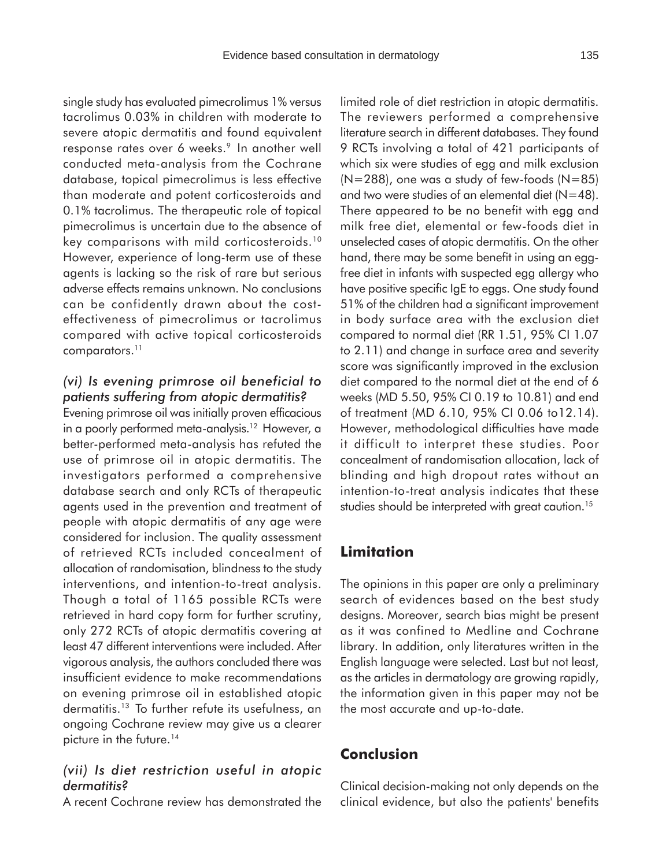single study has evaluated pimecrolimus 1% versus tacrolimus 0.03% in children with moderate to severe atopic dermatitis and found equivalent response rates over 6 weeks.<sup>9</sup> In another well conducted meta-analysis from the Cochrane database, topical pimecrolimus is less effective than moderate and potent corticosteroids and 0.1% tacrolimus. The therapeutic role of topical pimecrolimus is uncertain due to the absence of key comparisons with mild corticosteroids.10 However, experience of long-term use of these agents is lacking so the risk of rare but serious adverse effects remains unknown. No conclusions can be confidently drawn about the costeffectiveness of pimecrolimus or tacrolimus compared with active topical corticosteroids comparators.<sup>11</sup>

#### *(vi) Is evening primrose oil beneficial to patients suffering from atopic dermatitis?*

Evening primrose oil was initially proven efficacious in a poorly performed meta-analysis.<sup>12</sup> However, a better-performed meta-analysis has refuted the use of primrose oil in atopic dermatitis. The investigators performed a comprehensive database search and only RCTs of therapeutic agents used in the prevention and treatment of people with atopic dermatitis of any age were considered for inclusion. The quality assessment of retrieved RCTs included concealment of allocation of randomisation, blindness to the study interventions, and intention-to-treat analysis. Though a total of 1165 possible RCTs were retrieved in hard copy form for further scrutiny, only 272 RCTs of atopic dermatitis covering at least 47 different interventions were included. After vigorous analysis, the authors concluded there was insufficient evidence to make recommendations on evening primrose oil in established atopic dermatitis.13 To further refute its usefulness, an ongoing Cochrane review may give us a clearer picture in the future.<sup>14</sup>

#### *(vii) Is diet restriction useful in atopic dermatitis?*

A recent Cochrane review has demonstrated the

limited role of diet restriction in atopic dermatitis. The reviewers performed a comprehensive literature search in different databases. They found 9 RCTs involving a total of 421 participants of which six were studies of egg and milk exclusion  $(N=288)$ , one was a study of few-foods  $(N=85)$ and two were studies of an elemental diet  $(N=48)$ . There appeared to be no benefit with egg and milk free diet, elemental or few-foods diet in unselected cases of atopic dermatitis. On the other hand, there may be some benefit in using an eggfree diet in infants with suspected egg allergy who have positive specific IgE to eggs. One study found 51% of the children had a significant improvement in body surface area with the exclusion diet compared to normal diet (RR 1.51, 95% CI 1.07 to 2.11) and change in surface area and severity score was significantly improved in the exclusion diet compared to the normal diet at the end of 6 weeks (MD 5.50, 95% CI 0.19 to 10.81) and end of treatment (MD 6.10, 95% CI 0.06 to12.14). However, methodological difficulties have made it difficult to interpret these studies. Poor concealment of randomisation allocation, lack of blinding and high dropout rates without an intention-to-treat analysis indicates that these studies should be interpreted with great caution.<sup>15</sup>

# **Limitation**

The opinions in this paper are only a preliminary search of evidences based on the best study designs. Moreover, search bias might be present as it was confined to Medline and Cochrane library. In addition, only literatures written in the English language were selected. Last but not least, as the articles in dermatology are growing rapidly, the information given in this paper may not be the most accurate and up-to-date.

# **Conclusion**

Clinical decision-making not only depends on the clinical evidence, but also the patients' benefits